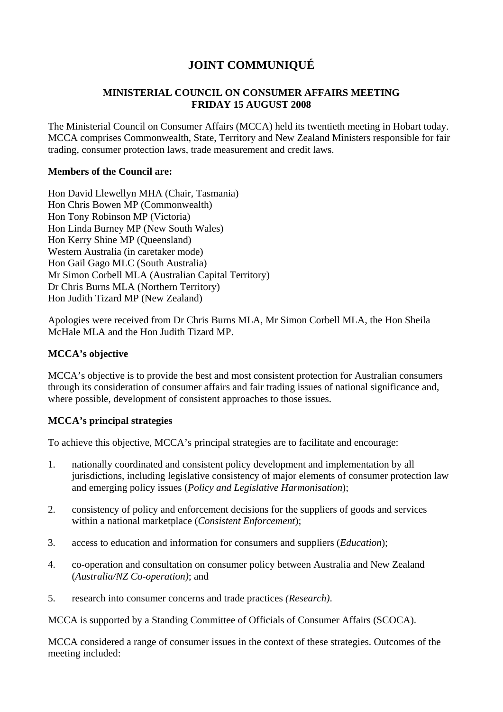# **JOINT COMMUNIQUÉ**

# **MINISTERIAL COUNCIL ON CONSUMER AFFAIRS MEETING FRIDAY 15 AUGUST 2008**

The Ministerial Council on Consumer Affairs (MCCA) held its twentieth meeting in Hobart today. MCCA comprises Commonwealth, State, Territory and New Zealand Ministers responsible for fair trading, consumer protection laws, trade measurement and credit laws.

## **Members of the Council are:**

Hon David Llewellyn MHA (Chair, Tasmania) Hon Chris Bowen MP (Commonwealth) Hon Tony Robinson MP (Victoria) Hon Linda Burney MP (New South Wales) Hon Kerry Shine MP (Queensland) Western Australia (in caretaker mode) Hon Gail Gago MLC (South Australia) Mr Simon Corbell MLA (Australian Capital Territory) Dr Chris Burns MLA (Northern Territory) Hon Judith Tizard MP (New Zealand)

Apologies were received from Dr Chris Burns MLA, Mr Simon Corbell MLA, the Hon Sheila McHale MLA and the Hon Judith Tizard MP.

## **MCCA's objective**

MCCA's objective is to provide the best and most consistent protection for Australian consumers through its consideration of consumer affairs and fair trading issues of national significance and, where possible, development of consistent approaches to those issues.

# **MCCA's principal strategies**

To achieve this objective, MCCA's principal strategies are to facilitate and encourage:

- 1. nationally coordinated and consistent policy development and implementation by all jurisdictions, including legislative consistency of major elements of consumer protection law and emerging policy issues (*Policy and Legislative Harmonisation*);
- 2. consistency of policy and enforcement decisions for the suppliers of goods and services within a national marketplace (*Consistent Enforcement*);
- 3. access to education and information for consumers and suppliers (*Education*);
- 4. co-operation and consultation on consumer policy between Australia and New Zealand (*Australia/NZ Co-operation)*; and
- 5. research into consumer concerns and trade practices *(Research)*.

MCCA is supported by a Standing Committee of Officials of Consumer Affairs (SCOCA).

MCCA considered a range of consumer issues in the context of these strategies. Outcomes of the meeting included: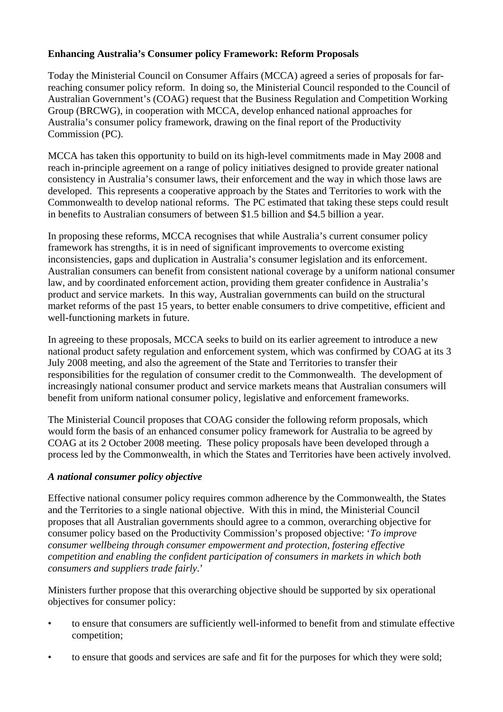# **Enhancing Australia's Consumer policy Framework: Reform Proposals**

Today the Ministerial Council on Consumer Affairs (MCCA) agreed a series of proposals for farreaching consumer policy reform. In doing so, the Ministerial Council responded to the Council of Australian Government's (COAG) request that the Business Regulation and Competition Working Group (BRCWG), in cooperation with MCCA, develop enhanced national approaches for Australia's consumer policy framework, drawing on the final report of the Productivity Commission (PC).

MCCA has taken this opportunity to build on its high-level commitments made in May 2008 and reach in-principle agreement on a range of policy initiatives designed to provide greater national consistency in Australia's consumer laws, their enforcement and the way in which those laws are developed. This represents a cooperative approach by the States and Territories to work with the Commonwealth to develop national reforms. The PC estimated that taking these steps could result in benefits to Australian consumers of between \$1.5 billion and \$4.5 billion a year.

In proposing these reforms, MCCA recognises that while Australia's current consumer policy framework has strengths, it is in need of significant improvements to overcome existing inconsistencies, gaps and duplication in Australia's consumer legislation and its enforcement. Australian consumers can benefit from consistent national coverage by a uniform national consumer law, and by coordinated enforcement action, providing them greater confidence in Australia's product and service markets. In this way, Australian governments can build on the structural market reforms of the past 15 years, to better enable consumers to drive competitive, efficient and well-functioning markets in future.

In agreeing to these proposals, MCCA seeks to build on its earlier agreement to introduce a new national product safety regulation and enforcement system, which was confirmed by COAG at its 3 July 2008 meeting, and also the agreement of the State and Territories to transfer their responsibilities for the regulation of consumer credit to the Commonwealth. The development of increasingly national consumer product and service markets means that Australian consumers will benefit from uniform national consumer policy, legislative and enforcement frameworks.

The Ministerial Council proposes that COAG consider the following reform proposals, which would form the basis of an enhanced consumer policy framework for Australia to be agreed by COAG at its 2 October 2008 meeting. These policy proposals have been developed through a process led by the Commonwealth, in which the States and Territories have been actively involved.

# *A national consumer policy objective*

Effective national consumer policy requires common adherence by the Commonwealth, the States and the Territories to a single national objective. With this in mind, the Ministerial Council proposes that all Australian governments should agree to a common, overarching objective for consumer policy based on the Productivity Commission's proposed objective: '*To improve consumer wellbeing through consumer empowerment and protection, fostering effective competition and enabling the confident participation of consumers in markets in which both consumers and suppliers trade fairly*.'

Ministers further propose that this overarching objective should be supported by six operational objectives for consumer policy:

- to ensure that consumers are sufficiently well-informed to benefit from and stimulate effective competition;
- to ensure that goods and services are safe and fit for the purposes for which they were sold;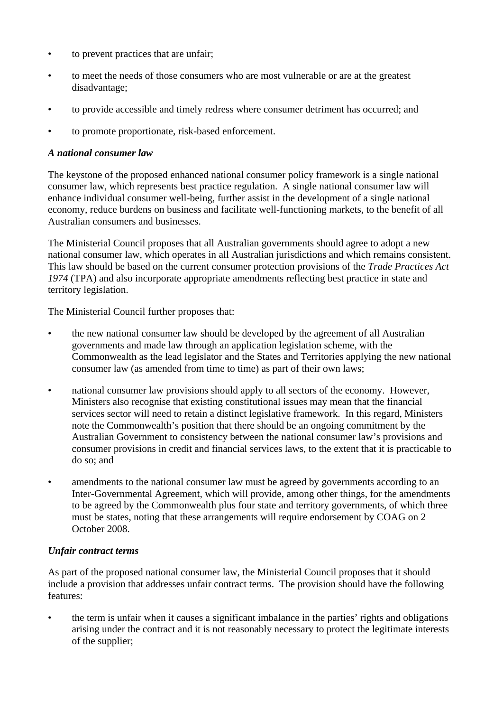- to prevent practices that are unfair;
- to meet the needs of those consumers who are most vulnerable or are at the greatest disadvantage;
- to provide accessible and timely redress where consumer detriment has occurred; and
- to promote proportionate, risk-based enforcement.

# *A national consumer law*

The keystone of the proposed enhanced national consumer policy framework is a single national consumer law, which represents best practice regulation. A single national consumer law will enhance individual consumer well-being, further assist in the development of a single national economy, reduce burdens on business and facilitate well-functioning markets, to the benefit of all Australian consumers and businesses.

The Ministerial Council proposes that all Australian governments should agree to adopt a new national consumer law, which operates in all Australian jurisdictions and which remains consistent. This law should be based on the current consumer protection provisions of the *Trade Practices Act 1974* (TPA) and also incorporate appropriate amendments reflecting best practice in state and territory legislation.

The Ministerial Council further proposes that:

- the new national consumer law should be developed by the agreement of all Australian governments and made law through an application legislation scheme, with the Commonwealth as the lead legislator and the States and Territories applying the new national consumer law (as amended from time to time) as part of their own laws;
- national consumer law provisions should apply to all sectors of the economy. However, Ministers also recognise that existing constitutional issues may mean that the financial services sector will need to retain a distinct legislative framework. In this regard, Ministers note the Commonwealth's position that there should be an ongoing commitment by the Australian Government to consistency between the national consumer law's provisions and consumer provisions in credit and financial services laws, to the extent that it is practicable to do so; and
- amendments to the national consumer law must be agreed by governments according to an Inter-Governmental Agreement, which will provide, among other things, for the amendments to be agreed by the Commonwealth plus four state and territory governments, of which three must be states, noting that these arrangements will require endorsement by COAG on 2 October 2008.

# *Unfair contract terms*

As part of the proposed national consumer law, the Ministerial Council proposes that it should include a provision that addresses unfair contract terms. The provision should have the following features:

• the term is unfair when it causes a significant imbalance in the parties' rights and obligations arising under the contract and it is not reasonably necessary to protect the legitimate interests of the supplier;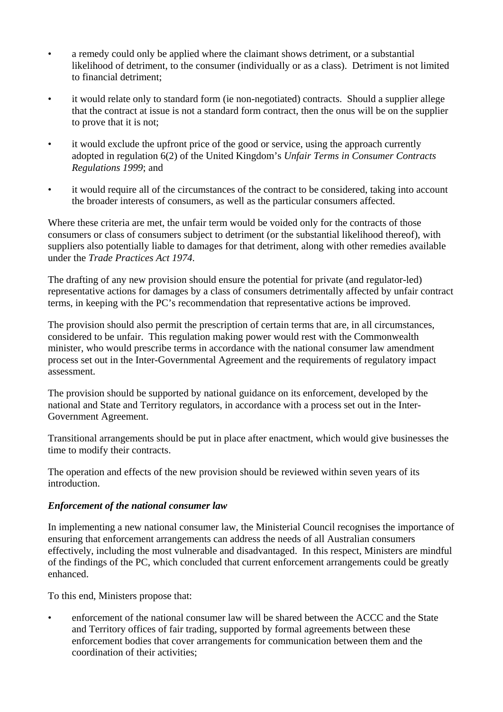- a remedy could only be applied where the claimant shows detriment, or a substantial likelihood of detriment, to the consumer (individually or as a class). Detriment is not limited to financial detriment;
- it would relate only to standard form (ie non-negotiated) contracts. Should a supplier allege that the contract at issue is not a standard form contract, then the onus will be on the supplier to prove that it is not;
- it would exclude the upfront price of the good or service, using the approach currently adopted in regulation 6(2) of the United Kingdom's *Unfair Terms in Consumer Contracts Regulations 1999*; and
- it would require all of the circumstances of the contract to be considered, taking into account the broader interests of consumers, as well as the particular consumers affected.

Where these criteria are met, the unfair term would be voided only for the contracts of those consumers or class of consumers subject to detriment (or the substantial likelihood thereof), with suppliers also potentially liable to damages for that detriment, along with other remedies available under the *Trade Practices Act 1974*.

The drafting of any new provision should ensure the potential for private (and regulator-led) representative actions for damages by a class of consumers detrimentally affected by unfair contract terms, in keeping with the PC's recommendation that representative actions be improved.

The provision should also permit the prescription of certain terms that are, in all circumstances, considered to be unfair. This regulation making power would rest with the Commonwealth minister, who would prescribe terms in accordance with the national consumer law amendment process set out in the Inter-Governmental Agreement and the requirements of regulatory impact assessment.

The provision should be supported by national guidance on its enforcement, developed by the national and State and Territory regulators, in accordance with a process set out in the Inter-Government Agreement.

Transitional arrangements should be put in place after enactment, which would give businesses the time to modify their contracts.

The operation and effects of the new provision should be reviewed within seven years of its introduction.

# *Enforcement of the national consumer law*

In implementing a new national consumer law, the Ministerial Council recognises the importance of ensuring that enforcement arrangements can address the needs of all Australian consumers effectively, including the most vulnerable and disadvantaged. In this respect, Ministers are mindful of the findings of the PC, which concluded that current enforcement arrangements could be greatly enhanced.

To this end, Ministers propose that:

enforcement of the national consumer law will be shared between the ACCC and the State and Territory offices of fair trading, supported by formal agreements between these enforcement bodies that cover arrangements for communication between them and the coordination of their activities;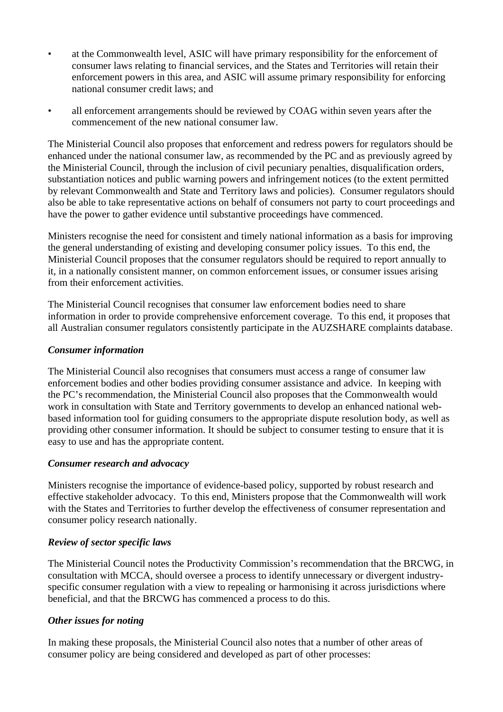- at the Commonwealth level, ASIC will have primary responsibility for the enforcement of consumer laws relating to financial services, and the States and Territories will retain their enforcement powers in this area, and ASIC will assume primary responsibility for enforcing national consumer credit laws; and
- all enforcement arrangements should be reviewed by COAG within seven years after the commencement of the new national consumer law.

The Ministerial Council also proposes that enforcement and redress powers for regulators should be enhanced under the national consumer law, as recommended by the PC and as previously agreed by the Ministerial Council, through the inclusion of civil pecuniary penalties, disqualification orders, substantiation notices and public warning powers and infringement notices (to the extent permitted by relevant Commonwealth and State and Territory laws and policies). Consumer regulators should also be able to take representative actions on behalf of consumers not party to court proceedings and have the power to gather evidence until substantive proceedings have commenced.

Ministers recognise the need for consistent and timely national information as a basis for improving the general understanding of existing and developing consumer policy issues. To this end, the Ministerial Council proposes that the consumer regulators should be required to report annually to it, in a nationally consistent manner, on common enforcement issues, or consumer issues arising from their enforcement activities.

The Ministerial Council recognises that consumer law enforcement bodies need to share information in order to provide comprehensive enforcement coverage. To this end, it proposes that all Australian consumer regulators consistently participate in the AUZSHARE complaints database.

## *Consumer information*

The Ministerial Council also recognises that consumers must access a range of consumer law enforcement bodies and other bodies providing consumer assistance and advice. In keeping with the PC's recommendation, the Ministerial Council also proposes that the Commonwealth would work in consultation with State and Territory governments to develop an enhanced national webbased information tool for guiding consumers to the appropriate dispute resolution body, as well as providing other consumer information. It should be subject to consumer testing to ensure that it is easy to use and has the appropriate content.

#### *Consumer research and advocacy*

Ministers recognise the importance of evidence-based policy, supported by robust research and effective stakeholder advocacy. To this end, Ministers propose that the Commonwealth will work with the States and Territories to further develop the effectiveness of consumer representation and consumer policy research nationally.

# *Review of sector specific laws*

The Ministerial Council notes the Productivity Commission's recommendation that the BRCWG, in consultation with MCCA, should oversee a process to identify unnecessary or divergent industryspecific consumer regulation with a view to repealing or harmonising it across jurisdictions where beneficial, and that the BRCWG has commenced a process to do this.

# *Other issues for noting*

In making these proposals, the Ministerial Council also notes that a number of other areas of consumer policy are being considered and developed as part of other processes: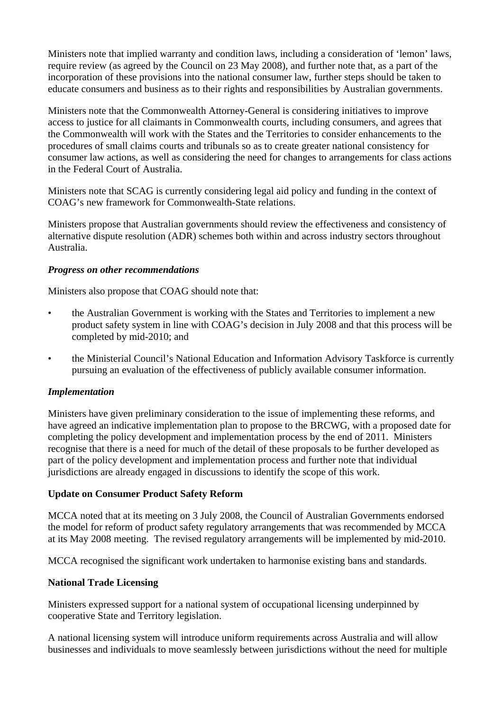Ministers note that implied warranty and condition laws, including a consideration of 'lemon' laws, require review (as agreed by the Council on 23 May 2008), and further note that, as a part of the incorporation of these provisions into the national consumer law, further steps should be taken to educate consumers and business as to their rights and responsibilities by Australian governments.

Ministers note that the Commonwealth Attorney-General is considering initiatives to improve access to justice for all claimants in Commonwealth courts, including consumers, and agrees that the Commonwealth will work with the States and the Territories to consider enhancements to the procedures of small claims courts and tribunals so as to create greater national consistency for consumer law actions, as well as considering the need for changes to arrangements for class actions in the Federal Court of Australia.

Ministers note that SCAG is currently considering legal aid policy and funding in the context of COAG's new framework for Commonwealth-State relations.

Ministers propose that Australian governments should review the effectiveness and consistency of alternative dispute resolution (ADR) schemes both within and across industry sectors throughout Australia.

## *Progress on other recommendations*

Ministers also propose that COAG should note that:

- the Australian Government is working with the States and Territories to implement a new product safety system in line with COAG's decision in July 2008 and that this process will be completed by mid-2010; and
- the Ministerial Council's National Education and Information Advisory Taskforce is currently pursuing an evaluation of the effectiveness of publicly available consumer information.

#### *Implementation*

Ministers have given preliminary consideration to the issue of implementing these reforms, and have agreed an indicative implementation plan to propose to the BRCWG, with a proposed date for completing the policy development and implementation process by the end of 2011. Ministers recognise that there is a need for much of the detail of these proposals to be further developed as part of the policy development and implementation process and further note that individual jurisdictions are already engaged in discussions to identify the scope of this work.

#### **Update on Consumer Product Safety Reform**

MCCA noted that at its meeting on 3 July 2008, the Council of Australian Governments endorsed the model for reform of product safety regulatory arrangements that was recommended by MCCA at its May 2008 meeting. The revised regulatory arrangements will be implemented by mid-2010.

MCCA recognised the significant work undertaken to harmonise existing bans and standards.

# **National Trade Licensing**

Ministers expressed support for a national system of occupational licensing underpinned by cooperative State and Territory legislation.

A national licensing system will introduce uniform requirements across Australia and will allow businesses and individuals to move seamlessly between jurisdictions without the need for multiple